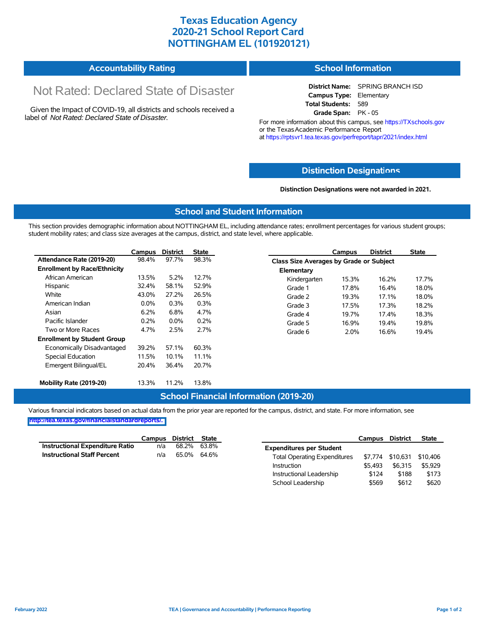## **Texas Education Agency 2020-21 School Report Card NOTTINGHAM EL (101920121)**

| <b>Accountability Rating</b> | <b>School Information</b> |
|------------------------------|---------------------------|
|------------------------------|---------------------------|

# Not Rated: Declared State of Disaster

Given the Impact of COVID-19, all districts and schools received a label of *Not Rated: Declared State of Disaster.*

**District Name:** SPRING BRANCH ISD **Campus Type:** Elementary **Total Students:** 589 **Grade Span:** PK - 05

For more information about this campus, see https://TXschools.gov or the Texas Academic Performance Report at https://rptsvr1.tea.texas.gov/perfreport/tapr/2021/index.html

### **Distinction Designat[ions](https://TXschools.gov)**

**Distinction Designations were not awarded in 2021.**

School Leadership  $$569$  \$612 \$620

#### **School and Student Information**

This section provides demographic information about NOTTINGHAM EL, including attendance rates; enrollment percentages for various student groups; student mobility rates; and class size averages at the campus, district, and state level, where applicable.

|                                     | Campus  | <b>District</b> | <b>State</b> |              | Campus                                  | <b>District</b> | <b>State</b> |  |  |
|-------------------------------------|---------|-----------------|--------------|--------------|-----------------------------------------|-----------------|--------------|--|--|
| Attendance Rate (2019-20)           | 98.4%   | 97.7%           | 98.3%        |              | Class Size Averages by Grade or Subject |                 |              |  |  |
| <b>Enrollment by Race/Ethnicity</b> |         |                 |              | Elementary   |                                         |                 |              |  |  |
| African American                    | 13.5%   | 5.2%            | 12.7%        | Kindergarten | 15.3%                                   | 16.2%           | 17.7%        |  |  |
| Hispanic                            | 32.4%   | 58.1%           | 52.9%        | Grade 1      | 17.8%                                   | 16.4%           | 18.0%        |  |  |
| White                               | 43.0%   | 27.2%           | 26.5%        | Grade 2      | 19.3%                                   | 17.1%           | 18.0%        |  |  |
| American Indian                     | $0.0\%$ | 0.3%            | 0.3%         | Grade 3      | 17.5%                                   | 17.3%           | 18.2%        |  |  |
| Asian                               | 6.2%    | 6.8%            | 4.7%         | Grade 4      | 19.7%                                   | 17.4%           | 18.3%        |  |  |
| Pacific Islander                    | 0.2%    | $0.0\%$         | 0.2%         | Grade 5      | 16.9%                                   | 19.4%           | 19.8%        |  |  |
| Two or More Races                   | 4.7%    | 2.5%            | 2.7%         | Grade 6      | 2.0%                                    | 16.6%           | 19.4%        |  |  |
| <b>Enrollment by Student Group</b>  |         |                 |              |              |                                         |                 |              |  |  |
| Economically Disadvantaged          | 39.2%   | 57.1%           | 60.3%        |              |                                         |                 |              |  |  |
| Special Education                   | 11.5%   | 10.1%           | 11.1%        |              |                                         |                 |              |  |  |
| Emergent Bilingual/EL               | 20.4%   | 36.4%           | 20.7%        |              |                                         |                 |              |  |  |
|                                     |         |                 |              |              |                                         |                 |              |  |  |
| Mobility Rate (2019-20)             | 13.3%   | 11.2%           | 13.8%        |              |                                         |                 |              |  |  |

#### **School Financial Information (2019-20)**

Various financial indicators based on actual data from the prior year are reported for the campus, district, and state. For more information, see

**[http://tea.texas.gov/financialstandardreports/.](http://tea.texas.gov/financialstandardreports/)**

|                                        | Campus | District | State |                                     | Campus  | <b>District</b>  | <b>State</b> |
|----------------------------------------|--------|----------|-------|-------------------------------------|---------|------------------|--------------|
| <b>Instructional Expenditure Ratio</b> | n/a    | 68.2%    | 63.8% | <b>Expenditures per Student</b>     |         |                  |              |
| <b>Instructional Staff Percent</b>     | n/a    | 65.0%    | 64.6% | <b>Total Operating Expenditures</b> |         | \$7.774 \$10.631 | \$10,406     |
|                                        |        |          |       | Instruction                         | \$5.493 | \$6.315          | \$5.929      |
|                                        |        |          |       | Instructional Leadership            | \$124   | \$188            | \$173        |